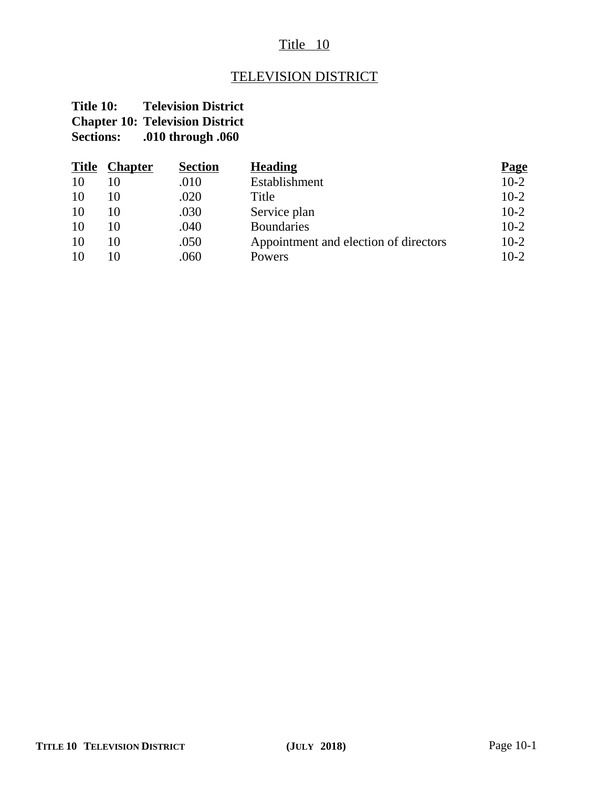## Title 10

# TELEVISION DISTRICT

### **Title 10: Television District Chapter 10: Television District<br>Sections:** .010 through .060 **Sections: .010 through .060**

| <b>Title</b> | <b>Chapter</b> | <b>Section</b> | <b>Heading</b>                        | <b>Page</b> |
|--------------|----------------|----------------|---------------------------------------|-------------|
| 10           |                | .010           | Establishment                         | $10-2$      |
| 10           | 10             | .020           | Title                                 | $10-2$      |
| 10           | 10             | .030           | Service plan                          | $10-2$      |
| 10           | 10             | .040           | <b>Boundaries</b>                     | $10-2$      |
| 10           | 10             | .050           | Appointment and election of directors | $10-2$      |
| 10           | 10             | .060           | Powers                                | $10-2$      |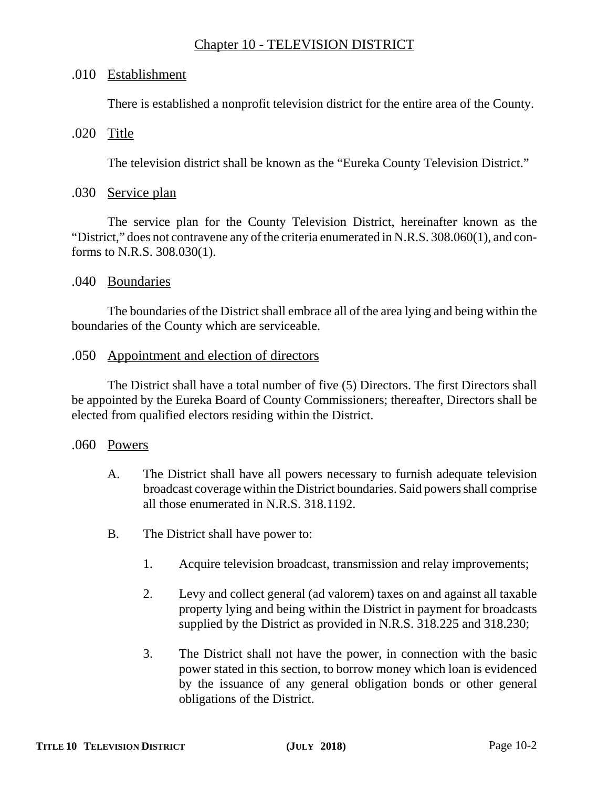### Chapter 10 - TELEVISION DISTRICT

### .010 Establishment

There is established a nonprofit television district for the entire area of the County.

#### .020 Title

The television district shall be known as the "Eureka County Television District."

#### .030 Service plan

The service plan for the County Television District, hereinafter known as the "District," does not contravene any of the criteria enumerated in N.R.S. 308.060(1), and conforms to N.R.S. 308.030(1).

#### .040 Boundaries

The boundaries of the District shall embrace all of the area lying and being within the boundaries of the County which are serviceable.

#### .050 Appointment and election of directors

The District shall have a total number of five (5) Directors. The first Directors shall be appointed by the Eureka Board of County Commissioners; thereafter, Directors shall be elected from qualified electors residing within the District.

#### .060 Powers

- A. The District shall have all powers necessary to furnish adequate television broadcast coverage within the District boundaries. Said powers shall comprise all those enumerated in N.R.S. 318.1192.
- B. The District shall have power to:
	- 1. Acquire television broadcast, transmission and relay improvements;
	- 2. Levy and collect general (ad valorem) taxes on and against all taxable property lying and being within the District in payment for broadcasts supplied by the District as provided in N.R.S. 318.225 and 318.230;
	- 3. The District shall not have the power, in connection with the basic power stated in this section, to borrow money which loan is evidenced by the issuance of any general obligation bonds or other general obligations of the District.